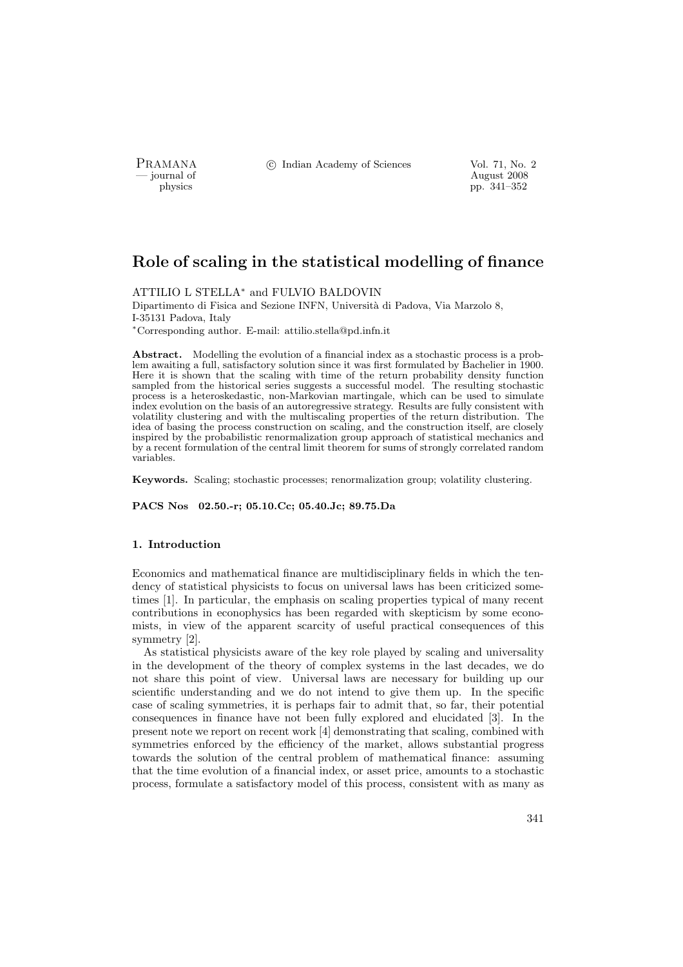PRAMANA <sup>C</sup> Indian Academy of Sciences Vol. 71, No. 2

physics and the set of the set of the set of the set of the set of the set of the set of the set of the set of the set of the set of the set of the set of the set of the set of the set of the set of the set of the set of t pp. 341–352

# Role of scaling in the statistical modelling of finance

ATTILIO L STELLA<sup>∗</sup> and FULVIO BALDOVIN

Dipartimento di Fisica and Sezione INFN, Università di Padova, Via Marzolo 8, I-35131 Padova, Italy <sup>∗</sup>Corresponding author. E-mail: attilio.stella@pd.infn.it

Abstract. Modelling the evolution of a financial index as a stochastic process is a problem awaiting a full, satisfactory solution since it was first formulated by Bachelier in 1900. Here it is shown that the scaling with time of the return probability density function sampled from the historical series suggests a successful model. The resulting stochastic process is a heteroskedastic, non-Markovian martingale, which can be used to simulate index evolution on the basis of an autoregressive strategy. Results are fully consistent with volatility clustering and with the multiscaling properties of the return distribution. The idea of basing the process construction on scaling, and the construction itself, are closely inspired by the probabilistic renormalization group approach of statistical mechanics and by a recent formulation of the central limit theorem for sums of strongly correlated random variables.

Keywords. Scaling; stochastic processes; renormalization group; volatility clustering.

PACS Nos 02.50.-r; 05.10.Cc; 05.40.Jc; 89.75.Da

# 1. Introduction

Economics and mathematical finance are multidisciplinary fields in which the tendency of statistical physicists to focus on universal laws has been criticized sometimes [1]. In particular, the emphasis on scaling properties typical of many recent contributions in econophysics has been regarded with skepticism by some economists, in view of the apparent scarcity of useful practical consequences of this symmetry [2].

As statistical physicists aware of the key role played by scaling and universality in the development of the theory of complex systems in the last decades, we do not share this point of view. Universal laws are necessary for building up our scientific understanding and we do not intend to give them up. In the specific case of scaling symmetries, it is perhaps fair to admit that, so far, their potential consequences in finance have not been fully explored and elucidated [3]. In the present note we report on recent work [4] demonstrating that scaling, combined with symmetries enforced by the efficiency of the market, allows substantial progress towards the solution of the central problem of mathematical finance: assuming that the time evolution of a financial index, or asset price, amounts to a stochastic process, formulate a satisfactory model of this process, consistent with as many as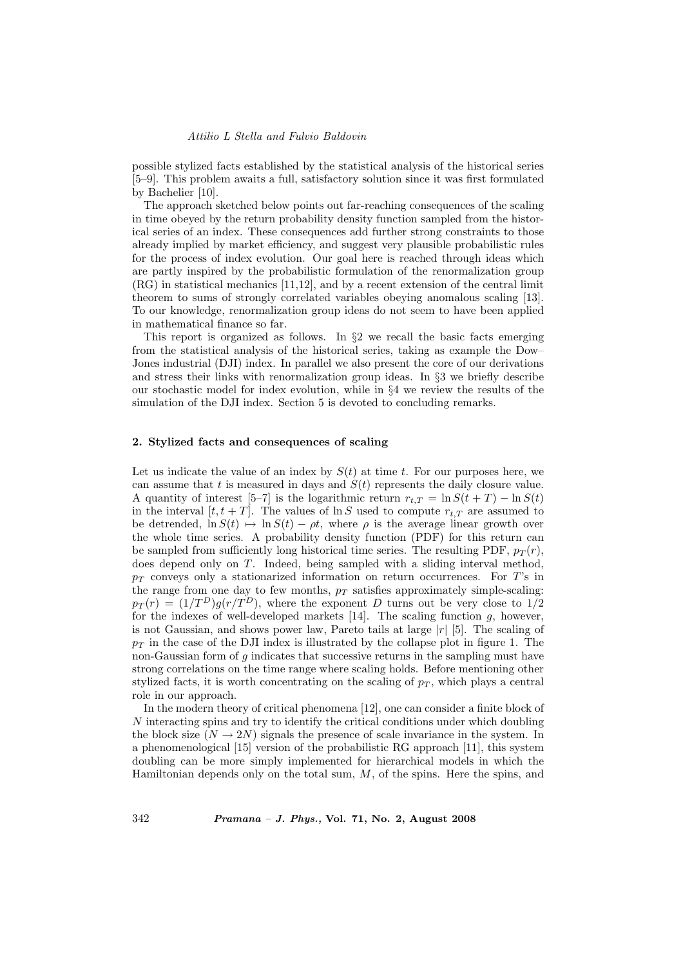possible stylized facts established by the statistical analysis of the historical series [5–9]. This problem awaits a full, satisfactory solution since it was first formulated by Bachelier [10].

The approach sketched below points out far-reaching consequences of the scaling in time obeyed by the return probability density function sampled from the historical series of an index. These consequences add further strong constraints to those already implied by market efficiency, and suggest very plausible probabilistic rules for the process of index evolution. Our goal here is reached through ideas which are partly inspired by the probabilistic formulation of the renormalization group (RG) in statistical mechanics [11,12], and by a recent extension of the central limit theorem to sums of strongly correlated variables obeying anomalous scaling [13]. To our knowledge, renormalization group ideas do not seem to have been applied in mathematical finance so far.

This report is organized as follows. In §2 we recall the basic facts emerging from the statistical analysis of the historical series, taking as example the Dow– Jones industrial (DJI) index. In parallel we also present the core of our derivations and stress their links with renormalization group ideas. In §3 we briefly describe our stochastic model for index evolution, while in §4 we review the results of the simulation of the DJI index. Section 5 is devoted to concluding remarks.

#### 2. Stylized facts and consequences of scaling

Let us indicate the value of an index by  $S(t)$  at time t. For our purposes here, we can assume that t is measured in days and  $S(t)$  represents the daily closure value. A quantity of interest [5–7] is the logarithmic return  $r_{t,T} = \ln S(t+T) - \ln S(t)$ in the interval  $[t, t + T]$ . The values of  $\ln S$  used to compute  $r_{t,T}$  are assumed to be detrended,  $\ln S(t) \rightarrow \ln S(t) - \rho t$ , where  $\rho$  is the average linear growth over the whole time series. A probability density function (PDF) for this return can be sampled from sufficiently long historical time series. The resulting PDF,  $p_T(r)$ , does depend only on T. Indeed, being sampled with a sliding interval method,  $p_T$  conveys only a stationarized information on return occurrences. For T's in the range from one day to few months,  $p_T$  satisfies approximately simple-scaling:  $p_T(r) = (1/T^D)g(r/T^D)$ , where the exponent D turns out be very close to  $1/2$ for the indexes of well-developed markets  $[14]$ . The scaling function g, however, is not Gaussian, and shows power law, Pareto tails at large  $|r|$  [5]. The scaling of  $p<sub>T</sub>$  in the case of the DJI index is illustrated by the collapse plot in figure 1. The non-Gaussian form of g indicates that successive returns in the sampling must have strong correlations on the time range where scaling holds. Before mentioning other stylized facts, it is worth concentrating on the scaling of  $p<sub>T</sub>$ , which plays a central role in our approach.

In the modern theory of critical phenomena [12], one can consider a finite block of  $N$  interacting spins and try to identify the critical conditions under which doubling the block size  $(N \to 2N)$  signals the presence of scale invariance in the system. In a phenomenological [15] version of the probabilistic RG approach [11], this system doubling can be more simply implemented for hierarchical models in which the Hamiltonian depends only on the total sum,  $M$ , of the spins. Here the spins, and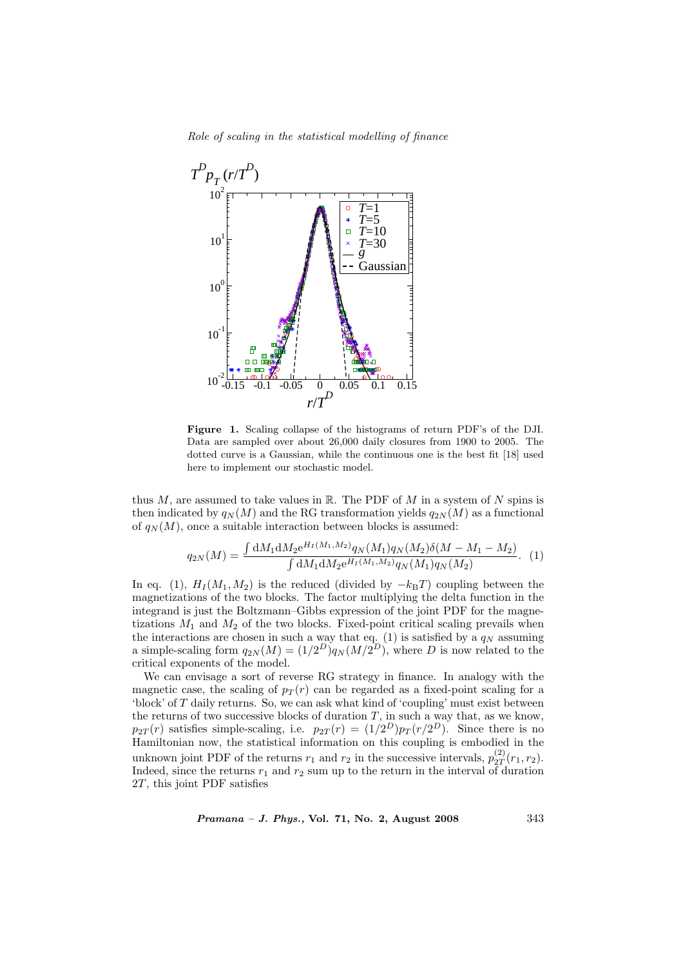Role of scaling in the statistical modelling of finance



Figure 1. Scaling collapse of the histograms of return PDF's of the DJI. Data are sampled over about 26,000 daily closures from 1900 to 2005. The dotted curve is a Gaussian, while the continuous one is the best fit [18] used here to implement our stochastic model.

thus M, are assumed to take values in R. The PDF of M in a system of N spins is then indicated by  $q_N(M)$  and the RG transformation yields  $q_{2N}(M)$  as a functional of  $q_N(M)$ , once a suitable interaction between blocks is assumed:

$$
q_{2N}(M) = \frac{\int dM_1 dM_2 e^{H_I(M_1, M_2)} q_N(M_1) q_N(M_2) \delta(M - M_1 - M_2)}{\int dM_1 dM_2 e^{H_I(M_1, M_2)} q_N(M_1) q_N(M_2)}.
$$
 (1)

In eq. (1),  $H_I(M_1, M_2)$  is the reduced (divided by  $-k_BT$ ) coupling between the magnetizations of the two blocks. The factor multiplying the delta function in the integrand is just the Boltzmann–Gibbs expression of the joint PDF for the magnetizations  $M_1$  and  $M_2$  of the two blocks. Fixed-point critical scaling prevails when the interactions are chosen in such a way that eq. (1) is satisfied by a  $q_N$  assuming a simple-scaling form  $q_{2N}(M) = (1/2^D)q_N(M/2^D)$ , where D is now related to the critical exponents of the model.

We can envisage a sort of reverse RG strategy in finance. In analogy with the magnetic case, the scaling of  $p_T(r)$  can be regarded as a fixed-point scaling for a 'block' of T daily returns. So, we can ask what kind of 'coupling' must exist between the returns of two successive blocks of duration  $T$ , in such a way that, as we know,  $p_{2T}(r)$  satisfies simple-scaling, i.e.  $p_{2T}(r) = (1/2^D)p_T(r/2^D)$ . Since there is no Hamiltonian now, the statistical information on this coupling is embodied in the unknown joint PDF of the returns  $r_1$  and  $r_2$  in the successive intervals,  $p_{2T}^{(2)}$  $\binom{2}{2} (r_1, r_2).$ Indeed, since the returns  $r_1$  and  $r_2$  sum up to the return in the interval of duration 2T, this joint PDF satisfies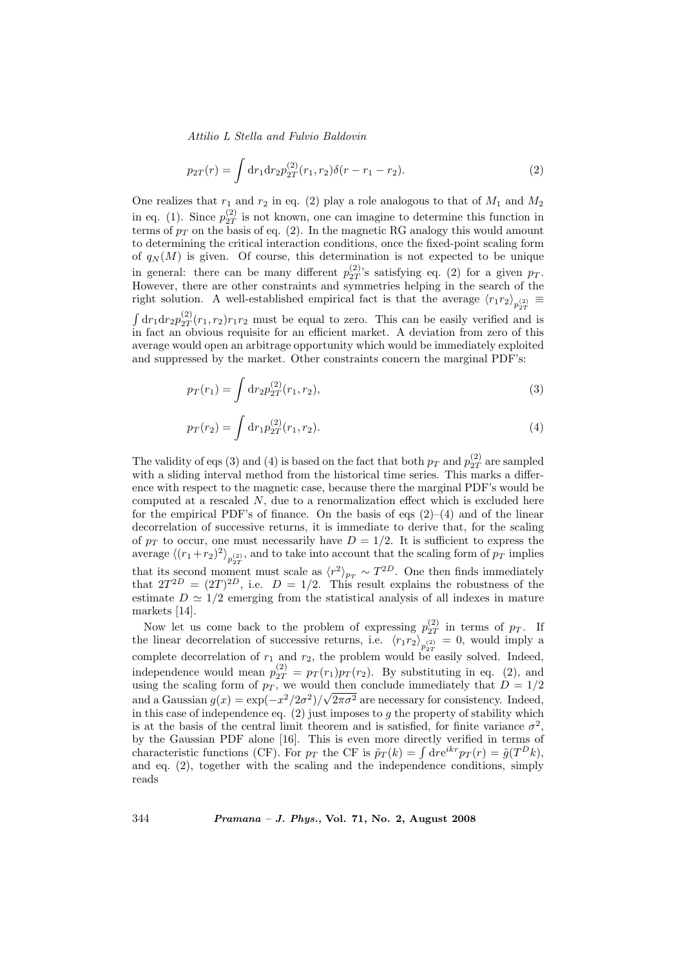$$
p_{2T}(r) = \int dr_1 dr_2 p_{2T}^{(2)}(r_1, r_2) \delta(r - r_1 - r_2).
$$
 (2)

One realizes that  $r_1$  and  $r_2$  in eq. (2) play a role analogous to that of  $M_1$  and  $M_2$ in eq. (1). Since  $p_{2T}^{(2)}$  $\frac{1}{2T}$  is not known, one can imagine to determine this function in terms of  $p_T$  on the basis of eq. (2). In the magnetic RG analogy this would amount to determining the critical interaction conditions, once the fixed-point scaling form of  $q_N(M)$  is given. Of course, this determination is not expected to be unique in general: there can be many different  $p_{2T}^{(2)}$  $_{2T}^{(2)}$ 's satisfying eq. (2) for a given  $p_T$ . However, there are other constraints and symmetries helping in the search of the right solution. A well-established empirical fact is that the average  $\langle r_1 r_2 \rangle_{p_{2T}^{(2)}} \equiv$ R  $\mathrm{d} r_1 \mathrm{d} r_2 p_{2T}^{(2)}$  $\frac{2T}{2T}(r_1, r_2)r_1r_2$  must be equal to zero. This can be easily verified and is in fact an obvious requisite for an efficient market. A deviation from zero of this average would open an arbitrage opportunity which would be immediately exploited and suppressed by the market. Other constraints concern the marginal PDF's:

$$
p_T(r_1) = \int \mathrm{d}r_2 p_{2T}^{(2)}(r_1, r_2),\tag{3}
$$

$$
p_T(r_2) = \int \mathrm{d}r_1 p_{2T}^{(2)}(r_1, r_2). \tag{4}
$$

The validity of eqs (3) and (4) is based on the fact that both  $p_T$  and  $p_{2T}^{(2)}$  $_{2T}^{(2)}$  are sampled with a sliding interval method from the historical time series. This marks a difference with respect to the magnetic case, because there the marginal PDF's would be computed at a rescaled  $N$ , due to a renormalization effect which is excluded here for the empirical PDF's of finance. On the basis of eqs  $(2)$ – $(4)$  and of the linear decorrelation of successive returns, it is immediate to derive that, for the scaling of  $p_T$  to occur, one must necessarily have  $D = 1/2$ . It is sufficient to express the average  $\langle (r_1 + r_2)^2 \rangle_{p_{2T}^{(2)}}$ , and to take into account that the scaling form of  $p_T$  implies that its second moment must scale as  $\langle r^2 \rangle_{p_T} \sim T^{2D}$ . One then finds immediately that  $2T^{2D} = (2T)^{2D}$ , i.e.  $D = 1/2$ . This result explains the robustness of the estimate  $D \simeq 1/2$  emerging from the statistical analysis of all indexes in mature markets [14].

Now let us come back to the problem of expressing  $p_{2T}^{(2)}$  $_{2T}^{(2)}$  in terms of  $p_T$ . If the linear decorrelation of successive returns, i.e.  $\langle r_1 r_2 \rangle_{p_{2T}^{(2)}} = 0$ , would imply a complete decorrelation of  $r_1$  and  $r_2$ , the problem would be easily solved. Indeed, independence would mean  $p_{2T}^{(2)} = p_T(r_1)p_T(r_2)$ . By substituting in eq. (2), and using the scaling form of  $p<sub>T</sub>$ , we would then conclude immediately that  $D = 1/2$ and a Gaussian  $g(x) = \exp(-x^2/2\sigma^2)/\sqrt{2\pi\sigma^2}$  are necessary for consistency. Indeed, in this case of independence eq.  $(2)$  just imposes to g the property of stability which is at the basis of the central limit theorem and is satisfied, for finite variance  $\sigma^2$ , by the Gaussian PDF alone [16]. This is even more directly verified in terms of by the Gaussian PDF alone [16]. This is even more directly verified in terms of characteristic functions (CF). For  $p_T$  the CF is  $\tilde{p}_T(k) = \int dr e^{ikr} p_T(r) = \tilde{g}(T^D k)$ , and eq. (2), together with the scaling and the independence conditions, simply reads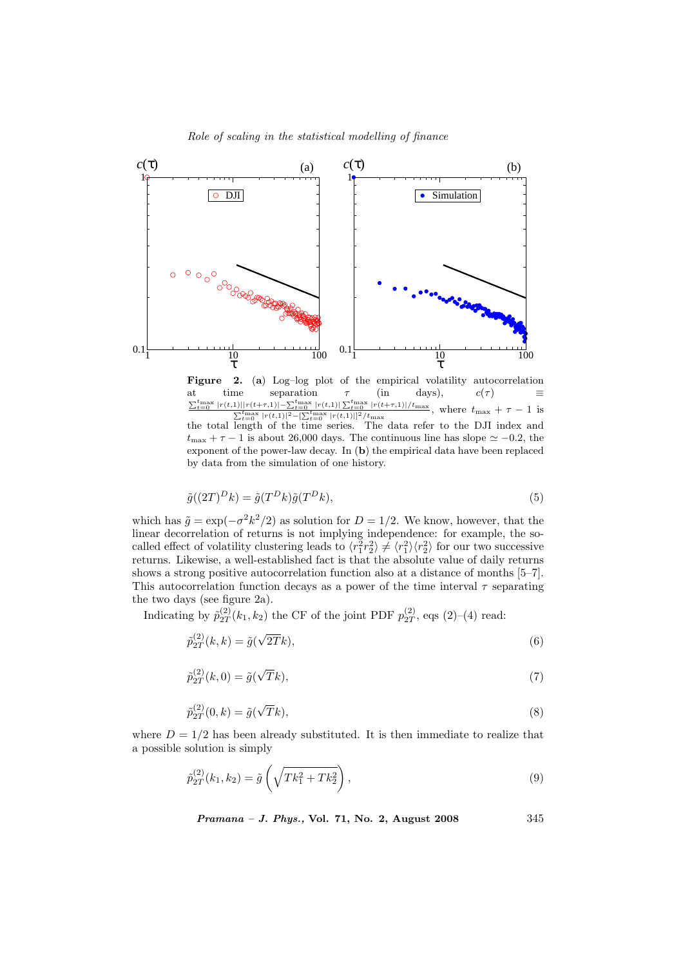

Figure 2. (a) Log-log plot of the empirical volatility autocorrelation at time separation  $\tau$  (in days),  $c(\tau) \equiv \frac{\sum_{t=0}^{t_{\text{max}}} |r(t,1)||r(t+\tau,1)| - \sum_{t=0}^{t_{\text{max}}} |r(t,1)| \sum_{t=0}^{t_{\text{max}}} |r(t+\tau,1)|/t_{\text{max}}} {\sum_{t=0}^{t_{\text{max}}} |r(t,1)|^2 - [\sum_{t=0}^{t_{\text{max}}} |r(t,1)||^2/t_{\text{max}}},$  where  $t_{\text{max}} + \tau - 1$  is the total length of the time series. The data refer to the DJI index and  $t_{\text{max}} + \tau - 1$  is about 26,000 days. The continuous line has slope  $\simeq -0.2$ , the exponent of the power-law decay. In (b) the empirical data have been replaced by data from the simulation of one history.

$$
\tilde{g}((2T)^D k) = \tilde{g}(T^D k)\tilde{g}(T^D k),\tag{5}
$$

which has  $\tilde{g} = \exp(-\sigma^2 k^2/2)$  as solution for  $D = 1/2$ . We know, however, that the linear decorrelation of returns is not implying independence: for example, the socalled effect of volatility clustering leads to  $\langle r_1^2 r_2^2 \rangle \neq \langle r_1^2 \rangle \langle r_2^2 \rangle$  for our two successive returns. Likewise, a well-established fact is that the absolute value of daily returns shows a strong positive autocorrelation function also at a distance of months [5–7]. This autocorrelation function decays as a power of the time interval  $\tau$  separating the two days (see figure 2a).

Indicating by  $\tilde{p}_{2T}^{(2)}$  $\binom{2}{2T}(k_1, k_2)$  the CF of the joint PDF  $p_{2T}^{(2)}$  $_{2T}^{(2)}$ , eqs  $(2)-(4)$  read:

$$
\tilde{p}_{2T}^{(2)}(k,k) = \tilde{g}(\sqrt{2T}k),\tag{6}
$$

$$
\tilde{p}_{2T}^{(2)}(k,0) = \tilde{g}(\sqrt{T}k),\tag{7}
$$

$$
\tilde{p}_{2T}^{(2)}(0,k) = \tilde{g}(\sqrt{T}k),\tag{8}
$$

where  $D = 1/2$  has been already substituted. It is then immediate to realize that a possible solution is simply

$$
\tilde{p}_{2T}^{(2)}(k_1, k_2) = \tilde{g}\left(\sqrt{Tk_1^2 + Tk_2^2}\right),\tag{9}
$$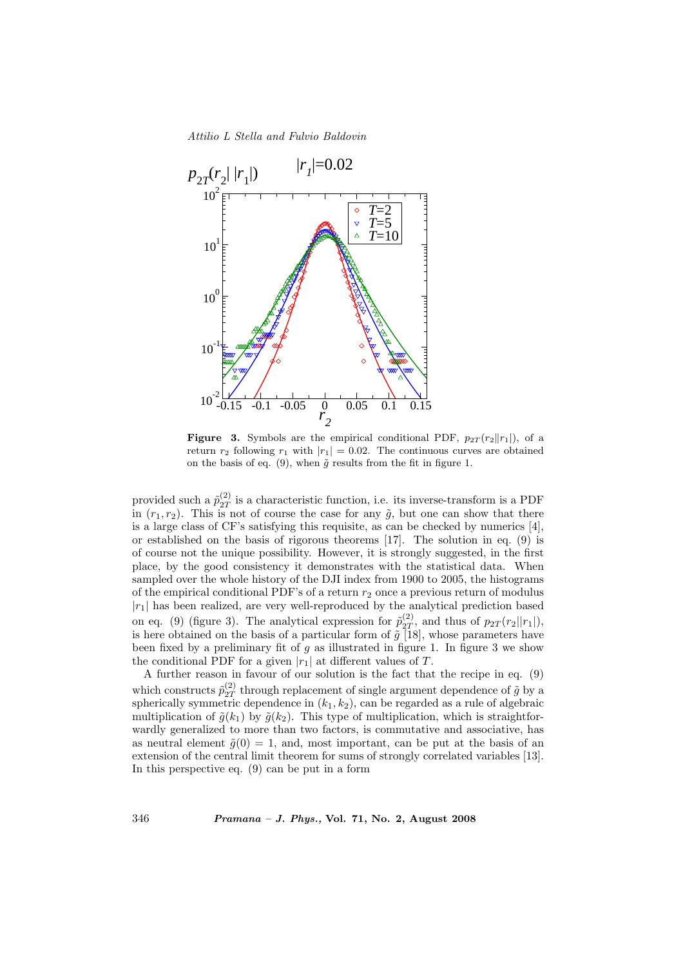

**Figure 3.** Symbols are the empirical conditional PDF,  $p_{2T}(r_2||r_1|)$ , of a return  $r_2$  following  $r_1$  with  $|r_1| = 0.02$ . The continuous curves are obtained on the basis of eq. (9), when  $\tilde{g}$  results from the fit in figure 1.

provided such a  $\tilde{p}_{2T}^{(2)}$  $\frac{1}{2T}$  is a characteristic function, i.e. its inverse-transform is a PDF in  $(r_1, r_2)$ . This is not of course the case for any  $\tilde{g}$ , but one can show that there is a large class of CF's satisfying this requisite, as can be checked by numerics [4], or established on the basis of rigorous theorems [17]. The solution in eq. (9) is of course not the unique possibility. However, it is strongly suggested, in the first place, by the good consistency it demonstrates with the statistical data. When sampled over the whole history of the DJI index from 1900 to 2005, the histograms of the empirical conditional PDF's of a return  $r<sub>2</sub>$  once a previous return of modulus  $|r_1|$  has been realized, are very well-reproduced by the analytical prediction based on eq. (9) (figure 3). The analytical expression for  $\tilde{p}_{2T}^{(2)}$  $_{2T}^{(2)}$ , and thus of  $p_{2T}(r_2||r_1|)$ , is here obtained on the basis of a particular form of  $\tilde{g}$  [18], whose parameters have been fixed by a preliminary fit of  $g$  as illustrated in figure 1. In figure 3 we show the conditional PDF for a given  $|r_1|$  at different values of T.

A further reason in favour of our solution is the fact that the recipe in eq. (9) which constructs  $\tilde{p}_{2T}^{(2)}$  $\frac{1}{2T}$  through replacement of single argument dependence of  $\tilde{g}$  by a spherically symmetric dependence in  $(k_1, k_2)$ , can be regarded as a rule of algebraic multiplication of  $\tilde{g}(k_1)$  by  $\tilde{g}(k_2)$ . This type of multiplication, which is straightforwardly generalized to more than two factors, is commutative and associative, has as neutral element  $\tilde{g}(0) = 1$ , and, most important, can be put at the basis of an extension of the central limit theorem for sums of strongly correlated variables [13]. In this perspective eq. (9) can be put in a form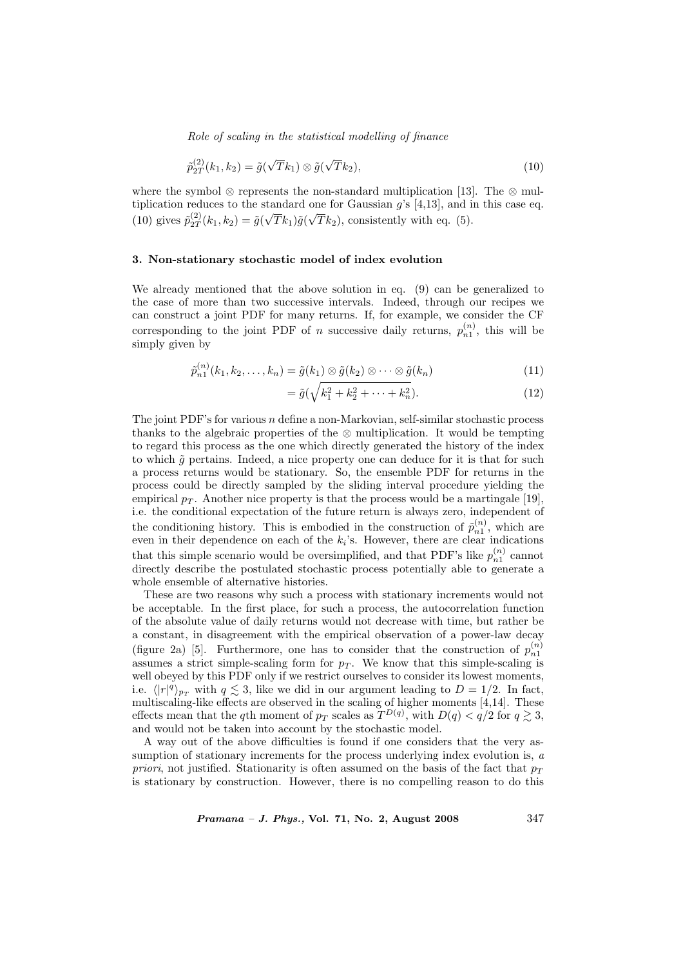Role of scaling in the statistical modelling of finance

$$
\tilde{p}_{2T}^{(2)}(k_1, k_2) = \tilde{g}(\sqrt{T}k_1) \otimes \tilde{g}(\sqrt{T}k_2),\tag{10}
$$

where the symbol ⊗ represents the non-standard multiplication [13]. The ⊗ multiplication reduces to the standard one for Gaussian  $g$ 's [4,13], and in this case eq. (10) gives  $\tilde{p}_{2T}^{(2)}$  $\frac{27}{2T}(k_1,k_2)=\tilde{g}($ √  $Tk_1) \tilde{g}($ √  $Tk_2$ ), consistently with eq. (5).

## 3. Non-stationary stochastic model of index evolution

We already mentioned that the above solution in eq. (9) can be generalized to the case of more than two successive intervals. Indeed, through our recipes we can construct a joint PDF for many returns. If, for example, we consider the CF corresponding to the joint PDF of *n* successive daily returns,  $p_{n1}^{(n)}$ , this will be simply given by

$$
\tilde{p}_{n1}^{(n)}(k_1, k_2, \dots, k_n) = \tilde{g}(k_1) \otimes \tilde{g}(k_2) \otimes \dots \otimes \tilde{g}(k_n)
$$
\n(11)

$$
= \tilde{g}(\sqrt{k_1^2 + k_2^2 + \dots + k_n^2}).\tag{12}
$$

The joint PDF's for various  $n$  define a non-Markovian, self-similar stochastic process thanks to the algebraic properties of the  $\otimes$  multiplication. It would be tempting to regard this process as the one which directly generated the history of the index to which  $\tilde{q}$  pertains. Indeed, a nice property one can deduce for it is that for such a process returns would be stationary. So, the ensemble PDF for returns in the process could be directly sampled by the sliding interval procedure yielding the empirical  $p_T$ . Another nice property is that the process would be a martingale [19], i.e. the conditional expectation of the future return is always zero, independent of the conditioning history. This is embodied in the construction of  $\tilde{p}_{n1}^{(n)}$ , which are even in their dependence on each of the  $k_i$ 's. However, there are clear indications that this simple scenario would be oversimplified, and that PDF's like  $p_{n1}^{(n)}$  cannot directly describe the postulated stochastic process potentially able to generate a whole ensemble of alternative histories.

These are two reasons why such a process with stationary increments would not be acceptable. In the first place, for such a process, the autocorrelation function of the absolute value of daily returns would not decrease with time, but rather be a constant, in disagreement with the empirical observation of a power-law decay (figure 2a) [5]. Furthermore, one has to consider that the construction of  $p_{n1}^{(n)}$ assumes a strict simple-scaling form for  $p_T$ . We know that this simple-scaling is well obeyed by this PDF only if we restrict ourselves to consider its lowest moments, i.e.  $\langle |r|^q \rangle_{p_T}$  with  $q \lesssim 3$ , like we did in our argument leading to  $D = 1/2$ . In fact, multiscaling-like effects are observed in the scaling of higher moments [4,14]. These effects mean that the qth moment of  $p_T$  scales as  $T^{D(q)}$ , with  $D(q) < q/2$  for  $q \gtrsim 3$ , and would not be taken into account by the stochastic model.

A way out of the above difficulties is found if one considers that the very assumption of stationary increments for the process underlying index evolution is, a *priori*, not justified. Stationarity is often assumed on the basis of the fact that  $p_T$ is stationary by construction. However, there is no compelling reason to do this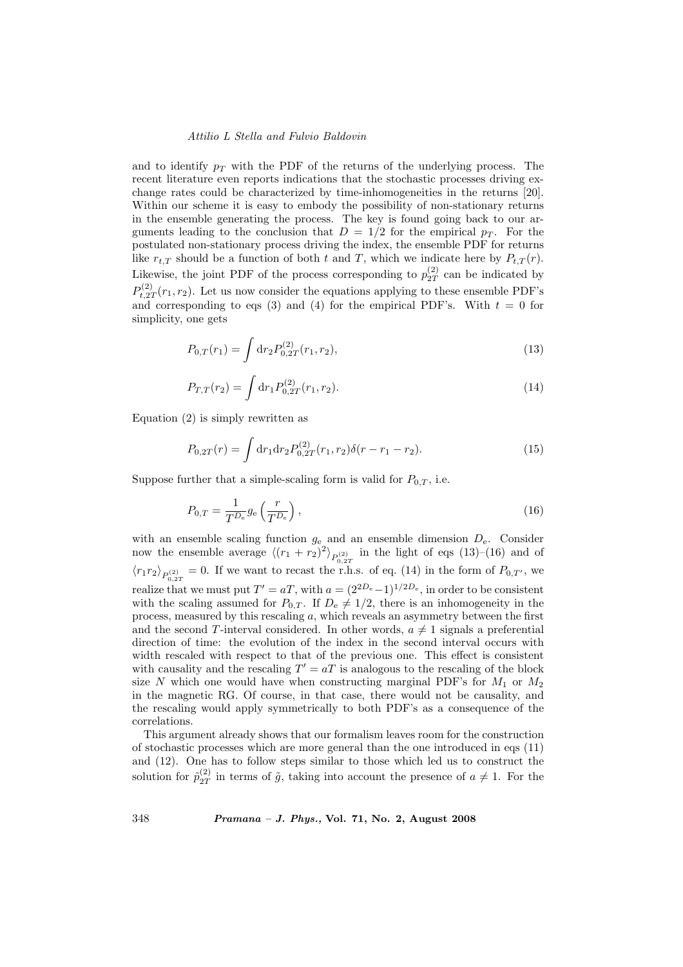and to identify  $p_T$  with the PDF of the returns of the underlying process. The recent literature even reports indications that the stochastic processes driving exchange rates could be characterized by time-inhomogeneities in the returns [20]. Within our scheme it is easy to embody the possibility of non-stationary returns in the ensemble generating the process. The key is found going back to our arguments leading to the conclusion that  $D = 1/2$  for the empirical  $p_T$ . For the postulated non-stationary process driving the index, the ensemble PDF for returns like  $r_{t,T}$  should be a function of both t and T, which we indicate here by  $P_{t,T}(r)$ . Likewise, the joint PDF of the process corresponding to  $p_{2T}^{(2)}$  $_{2T}^{(2)}$  can be indicated by  $P_{t-27}^{(2)}$  $t_{t,2T}^{(2)}(r_1,r_2)$ . Let us now consider the equations applying to these ensemble PDF's and corresponding to eqs (3) and (4) for the empirical PDF's. With  $t = 0$  for simplicity, one gets

$$
P_{0,T}(r_1) = \int \mathrm{d}r_2 P_{0,2T}^{(2)}(r_1, r_2),\tag{13}
$$

$$
P_{T,T}(r_2) = \int \mathrm{d}r_1 P_{0,2T}^{(2)}(r_1, r_2). \tag{14}
$$

Equation (2) is simply rewritten as

$$
P_{0,2T}(r) = \int dr_1 dr_2 P_{0,2T}^{(2)}(r_1, r_2) \delta(r - r_1 - r_2).
$$
 (15)

Suppose further that a simple-scaling form is valid for  $P_{0,T}$ , i.e.

$$
P_{0,T} = \frac{1}{T^{D_e}} g_e \left(\frac{r}{T^{D_e}}\right),\tag{16}
$$

with an ensemble scaling function  $g_e$  and an ensemble dimension  $D_e$ . Consider now the ensemble average  $\langle (r_1 + r_2)^2 \rangle_{P_{0,2T}^{(2)}}$  in the light of eqs (13)–(16) and of  $\langle r_1 r_2 \rangle_{P_{0,2T}^{(2)}} = 0$ . If we want to recast the r.h.s. of eq. (14) in the form of  $P_{0,T'}$ , we realize that we must put  $T' = aT$ , with  $a = (2^{2D_e}-1)^{1/2D_e}$ , in order to be consistent with the scaling assumed for  $P_{0,T}$ . If  $D_e \neq 1/2$ , there is an inhomogeneity in the process, measured by this rescaling a, which reveals an asymmetry between the first and the second T-interval considered. In other words,  $a \neq 1$  signals a preferential direction of time: the evolution of the index in the second interval occurs with width rescaled with respect to that of the previous one. This effect is consistent with causality and the rescaling  $T' = aT$  is analogous to the rescaling of the block size N which one would have when constructing marginal PDF's for  $M_1$  or  $M_2$ in the magnetic RG. Of course, in that case, there would not be causality, and the rescaling would apply symmetrically to both PDF's as a consequence of the correlations.

This argument already shows that our formalism leaves room for the construction of stochastic processes which are more general than the one introduced in eqs (11) and (12). One has to follow steps similar to those which led us to construct the solution for  $\tilde{p}_{2T}^{(2)}$  $\frac{1}{2T}$  in terms of  $\tilde{g}$ , taking into account the presence of  $a \neq 1$ . For the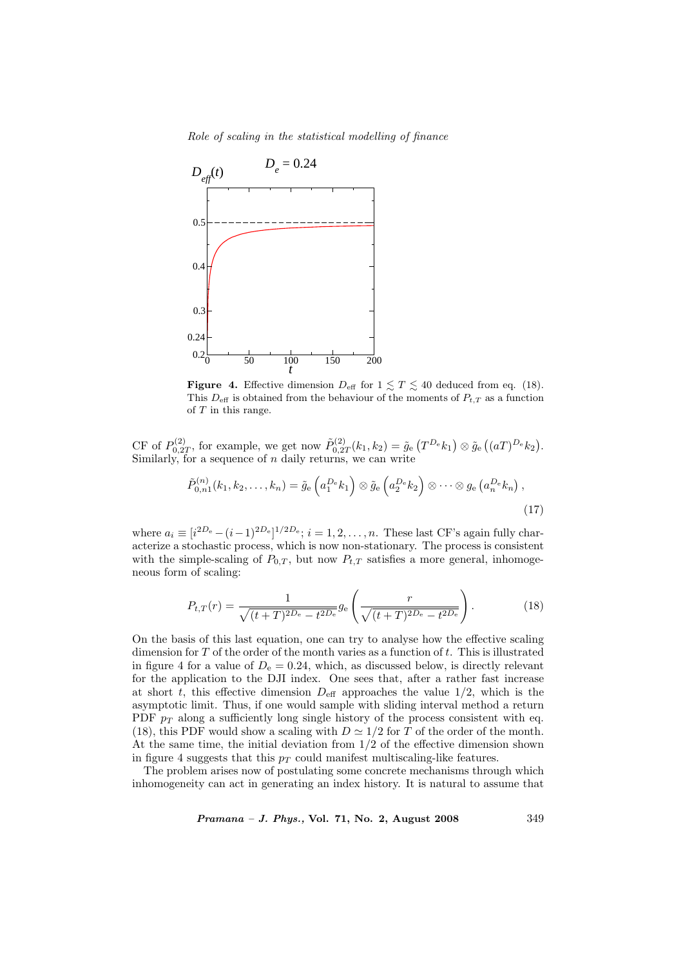Role of scaling in the statistical modelling of finance



**Figure 4.** Effective dimension  $D_{\text{eff}}$  for  $1 \leq T \leq 40$  deduced from eq. (18). This  $D_{\text{eff}}$  is obtained from the behaviour of the moments of  $P_{t,T}$  as a function of  ${\cal T}$  in this range.

CF of  $P_{0,2}^{(2)}$  $\tilde{p}_{0,2T}^{(2)}$ , for example, we get now  $\tilde{P}_{0,2T}^{(2)}$  $\tilde{g}_{0,2T}^{(2)}(k_1,k_2) = \tilde{g}_{e}$ ¡  $T^{D_e}$  $(k_1)$  $\otimes \tilde{g}_{\rm e}$ ¡  $(aT)^{D_e}k_2$ . Similarly, for a sequence of  $n$  daily returns, we can write

$$
\tilde{P}_{0,n1}^{(n)}(k_1,k_2,\ldots,k_n) = \tilde{g}_e\left(a_1^{De}k_1\right) \otimes \tilde{g}_e\left(a_2^{De}k_2\right) \otimes \cdots \otimes g_e\left(a_n^{De}k_n\right),\tag{17}
$$

where  $a_i \equiv [i^{2D_e} - (i-1)^{2D_e}]^{1/2D_e}; i = 1, 2, ..., n$ . These last CF's again fully characterize a stochastic process, which is now non-stationary. The process is consistent with the simple-scaling of  $P_{0,T}$ , but now  $P_{t,T}$  satisfies a more general, inhomogeneous form of scaling:

$$
P_{t,T}(r) = \frac{1}{\sqrt{(t+T)^{2D_e} - t^{2D_e}}} g_e\left(\frac{r}{\sqrt{(t+T)^{2D_e} - t^{2D_e}}}\right).
$$
 (18)

On the basis of this last equation, one can try to analyse how the effective scaling dimension for  $T$  of the order of the month varies as a function of  $t$ . This is illustrated in figure 4 for a value of  $D_e = 0.24$ , which, as discussed below, is directly relevant for the application to the DJI index. One sees that, after a rather fast increase at short t, this effective dimension  $D_{\text{eff}}$  approaches the value 1/2, which is the asymptotic limit. Thus, if one would sample with sliding interval method a return PDF  $p_T$  along a sufficiently long single history of the process consistent with eq. (18), this PDF would show a scaling with  $D \simeq 1/2$  for T of the order of the month. At the same time, the initial deviation from 1/2 of the effective dimension shown in figure 4 suggests that this  $p_T$  could manifest multiscaling-like features.

The problem arises now of postulating some concrete mechanisms through which inhomogeneity can act in generating an index history. It is natural to assume that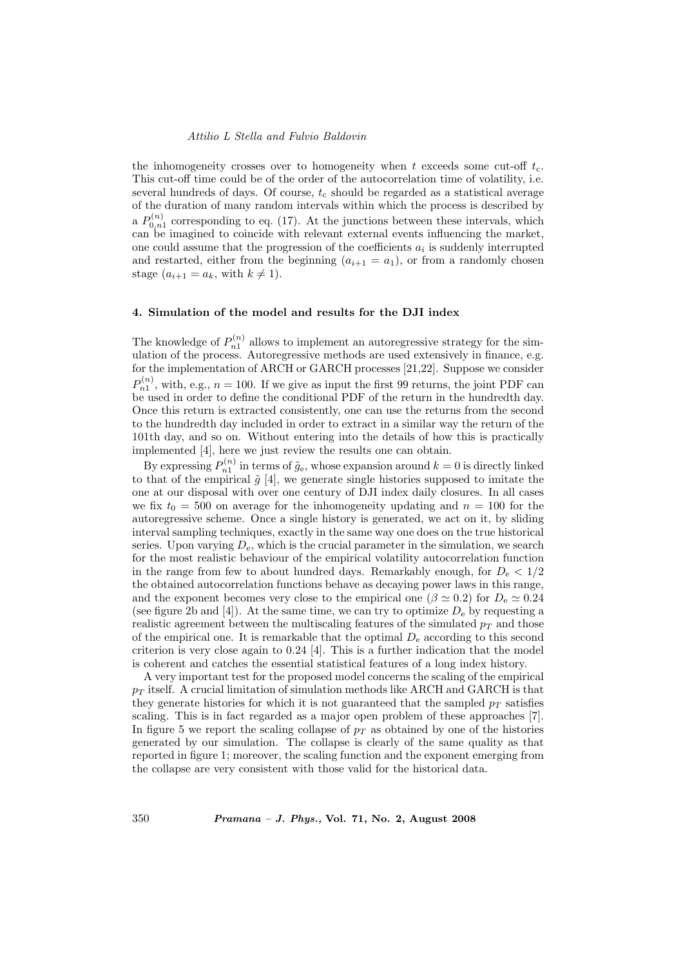the inhomogeneity crosses over to homogeneity when t exceeds some cut-off  $t_c$ . This cut-off time could be of the order of the autocorrelation time of volatility, i.e. several hundreds of days. Of course,  $t_c$  should be regarded as a statistical average of the duration of many random intervals within which the process is described by a  $P_{0,n_1}^{(n)}$  corresponding to eq. (17). At the junctions between these intervals, which can be imagined to coincide with relevant external events influencing the market, one could assume that the progression of the coefficients  $a_i$  is suddenly interrupted and restarted, either from the beginning  $(a_{i+1} = a_1)$ , or from a randomly chosen stage  $(a_{i+1} = a_k, \text{ with } k \neq 1).$ 

# 4. Simulation of the model and results for the DJI index

The knowledge of  $P_{n1}^{(n)}$  allows to implement an autoregressive strategy for the simulation of the process. Autoregressive methods are used extensively in finance, e.g. for the implementation of ARCH or GARCH processes [21,22]. Suppose we consider  $P_{n1}^{(n)}$ , with, e.g.,  $n = 100$ . If we give as input the first 99 returns, the joint PDF can be used in order to define the conditional PDF of the return in the hundredth day. Once this return is extracted consistently, one can use the returns from the second to the hundredth day included in order to extract in a similar way the return of the 101th day, and so on. Without entering into the details of how this is practically implemented [4], here we just review the results one can obtain.

By expressing  $P_{n1}^{(n)}$  in terms of  $\tilde{g}_e$ , whose expansion around  $k = 0$  is directly linked to that of the empirical  $\tilde{g}$  [4], we generate single histories supposed to imitate the one at our disposal with over one century of DJI index daily closures. In all cases we fix  $t_0 = 500$  on average for the inhomogeneity updating and  $n = 100$  for the autoregressive scheme. Once a single history is generated, we act on it, by sliding interval sampling techniques, exactly in the same way one does on the true historical series. Upon varying  $D_e$ , which is the crucial parameter in the simulation, we search for the most realistic behaviour of the empirical volatility autocorrelation function in the range from few to about hundred days. Remarkably enough, for  $D_e < 1/2$ the obtained autocorrelation functions behave as decaying power laws in this range, and the exponent becomes very close to the empirical one ( $\beta \simeq 0.2$ ) for  $D_e \simeq 0.24$ (see figure 2b and [4]). At the same time, we can try to optimize  $D_e$  by requesting a realistic agreement between the multiscaling features of the simulated  $p_T$  and those of the empirical one. It is remarkable that the optimal  $D_e$  according to this second criterion is very close again to 0.24 [4]. This is a further indication that the model is coherent and catches the essential statistical features of a long index history.

A very important test for the proposed model concerns the scaling of the empirical  $p_T$  itself. A crucial limitation of simulation methods like ARCH and GARCH is that they generate histories for which it is not guaranteed that the sampled  $p_T$  satisfies scaling. This is in fact regarded as a major open problem of these approaches [7]. In figure 5 we report the scaling collapse of  $p_T$  as obtained by one of the histories generated by our simulation. The collapse is clearly of the same quality as that reported in figure 1; moreover, the scaling function and the exponent emerging from the collapse are very consistent with those valid for the historical data.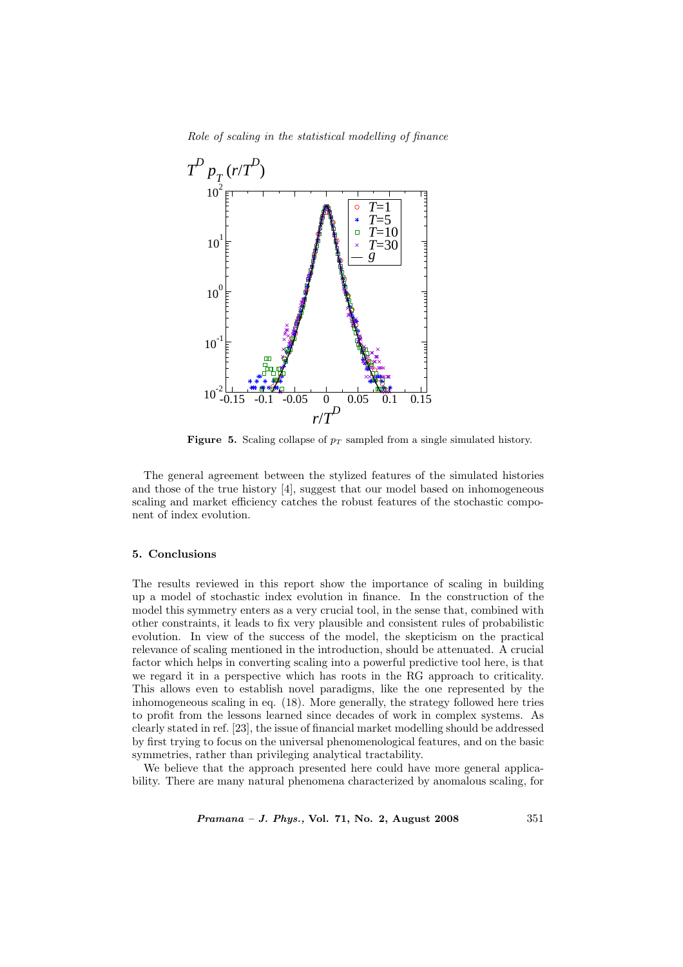Role of scaling in the statistical modelling of finance



Figure 5. Scaling collapse of  $p_T$  sampled from a single simulated history.

The general agreement between the stylized features of the simulated histories and those of the true history [4], suggest that our model based on inhomogeneous scaling and market efficiency catches the robust features of the stochastic component of index evolution.

## 5. Conclusions

The results reviewed in this report show the importance of scaling in building up a model of stochastic index evolution in finance. In the construction of the model this symmetry enters as a very crucial tool, in the sense that, combined with other constraints, it leads to fix very plausible and consistent rules of probabilistic evolution. In view of the success of the model, the skepticism on the practical relevance of scaling mentioned in the introduction, should be attenuated. A crucial factor which helps in converting scaling into a powerful predictive tool here, is that we regard it in a perspective which has roots in the RG approach to criticality. This allows even to establish novel paradigms, like the one represented by the inhomogeneous scaling in eq. (18). More generally, the strategy followed here tries to profit from the lessons learned since decades of work in complex systems. As clearly stated in ref. [23], the issue of financial market modelling should be addressed by first trying to focus on the universal phenomenological features, and on the basic symmetries, rather than privileging analytical tractability.

We believe that the approach presented here could have more general applicability. There are many natural phenomena characterized by anomalous scaling, for